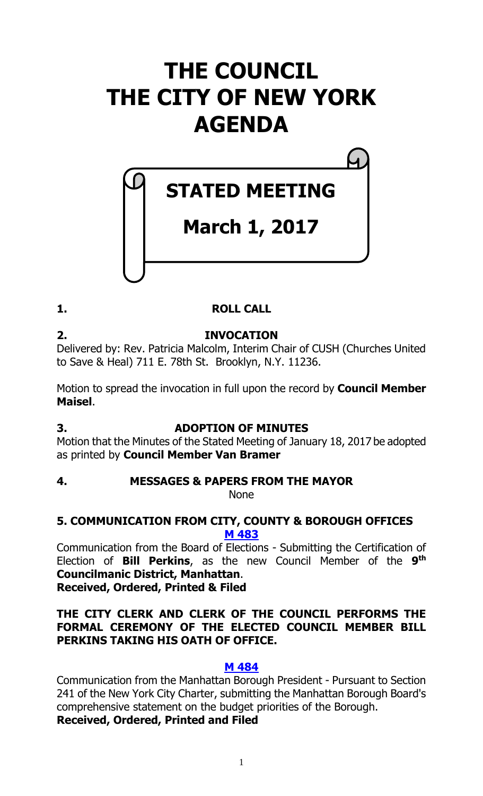# **THE COUNCIL THE CITY OF NEW YORK AGENDA**

# **March 1, 2017**

**STATED MEETING**

# **1. ROLL CALL**

**2. INVOCATION** Delivered by: Rev. Patricia Malcolm, Interim Chair of CUSH (Churches United to Save & Heal) 711 E. 78th St. Brooklyn, N.Y. 11236.

Motion to spread the invocation in full upon the record by **Council Member Maisel**.

# **3. ADOPTION OF MINUTES**

Motion that the Minutes of the Stated Meeting of January 18, 2017 be adopted as printed by **Council Member Van Bramer**

# **4. MESSAGES & PAPERS FROM THE MAYOR**

None

# **5. COMMUNICATION FROM CITY, COUNTY & BOROUGH OFFICES [M 483](http://legistar.council.nyc.gov/LegislationDetail.aspx?ID=2972169&GUID=3EC675ED-0BFF-464A-B1E3-9D0A1B1AF380&Options=Advanced&Search=)**

Communication from the Board of Elections - Submitting the Certification of Election of **Bill Perkins**, as the new Council Member of the **9 th Councilmanic District, Manhattan**. **Received, Ordered, Printed & Filed**

# **THE CITY CLERK AND CLERK OF THE COUNCIL PERFORMS THE FORMAL CEREMONY OF THE ELECTED COUNCIL MEMBER BILL PERKINS TAKING HIS OATH OF OFFICE.**

# **M [484](http://legistar.council.nyc.gov/LegislationDetail.aspx?ID=2972170&GUID=9CFBEB9C-0A9C-4397-B215-F094E37443B6&Options=Advanced&Search=)**

Communication from the Manhattan Borough President - Pursuant to Section 241 of the New York City Charter, submitting the Manhattan Borough Board's comprehensive statement on the budget priorities of the Borough.

# **Received, Ordered, Printed and Filed**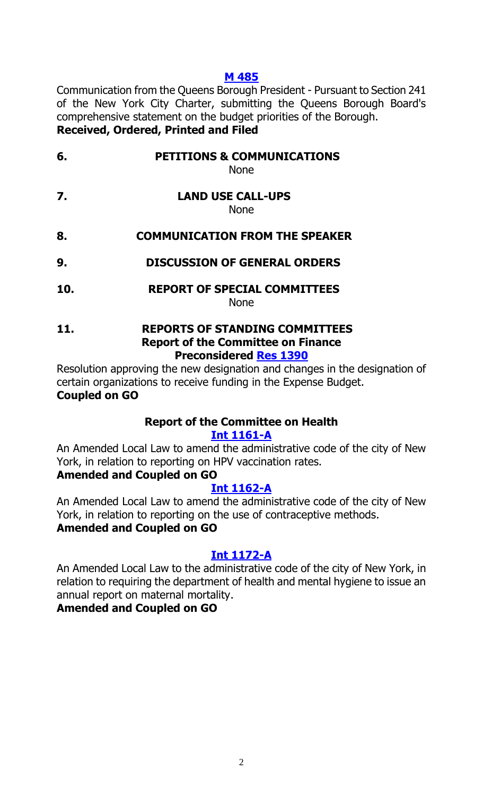# **M [485](http://legistar.council.nyc.gov/LegislationDetail.aspx?ID=2972171&GUID=295B7635-93E2-44EE-B848-F913D5A284B6&Options=Advanced&Search=)**

Communication from the Queens Borough President - Pursuant to Section 241 of the New York City Charter, submitting the Queens Borough Board's comprehensive statement on the budget priorities of the Borough. **Received, Ordered, Printed and Filed**

# **6. PETITIONS & COMMUNICATIONS**

None

**7. LAND USE CALL-UPS** None

# **8. COMMUNICATION FROM THE SPEAKER**

- **9. DISCUSSION OF GENERAL ORDERS**
- **10. REPORT OF SPECIAL COMMITTEES** None

#### **11. REPORTS OF STANDING COMMITTEES Report of the Committee on Finance Preconsidered Res [1390](http://legistar.council.nyc.gov/LegislationDetail.aspx?ID=2958631&GUID=E7DC7053-07F5-4F0A-84DA-FF935389DCB4&Options=Advanced&Search=)**

Resolution approving the new designation and changes in the designation of certain organizations to receive funding in the Expense Budget. **Coupled on GO**

#### **Report of the Committee on Health [Int 1161-A](http://legistar.council.nyc.gov/LegislationDetail.aspx?ID=2693987&GUID=E8E248A4-38DC-4353-9B36-905A53E7E55F&Options=Advanced&Search=)**

An Amended Local Law to amend the administrative code of the city of New York, in relation to reporting on HPV vaccination rates.

# **Amended and Coupled on GO**

# **[Int 1162-A](http://legistar.council.nyc.gov/LegislationDetail.aspx?ID=2693989&GUID=4E2387BF-9D7B-4738-B378-408B4F68F7BE&Options=Advanced&Search=)**

An Amended Local Law to amend the administrative code of the city of New York, in relation to reporting on the use of contraceptive methods. **Amended and Coupled on GO**

# **[Int 1172-A](http://legistar.council.nyc.gov/LegislationDetail.aspx?ID=2709929&GUID=32D3EE5A-6F06-479D-BA51-F64D29EBAF6B&Options=Advanced&Search=)**

An Amended Local Law to the administrative code of the city of New York, in relation to requiring the department of health and mental hygiene to issue an annual report on maternal mortality.

# **Amended and Coupled on GO**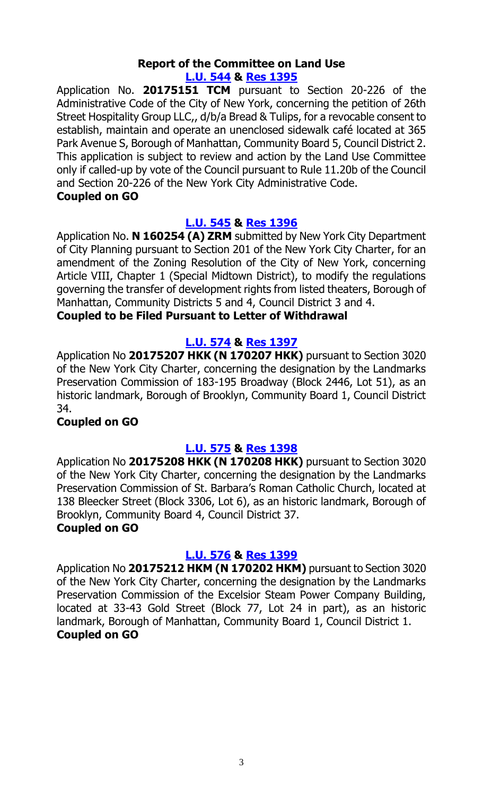#### **Report of the Committee on Land Use [L.U. 544](http://legistar.council.nyc.gov/LegislationDetail.aspx?ID=2939949&GUID=8018A8CC-136E-46B4-ABEC-9F227D28EF02&Options=Advanced&Search=) & Res [1395](http://legistar.council.nyc.gov/LegislationDetail.aspx?ID=2971437&GUID=85482A55-D7E8-41D7-9FFA-AC0912CBE2D2&Options=Advanced&Search=)**

Application No. **20175151 TCM** pursuant to Section 20-226 of the Administrative Code of the City of New York, concerning the petition of 26th Street Hospitality Group LLC,, d/b/a Bread & Tulips, for a revocable consent to establish, maintain and operate an unenclosed sidewalk café located at 365 Park Avenue S, Borough of Manhattan, Community Board 5, Council District 2. This application is subject to review and action by the Land Use Committee only if called-up by vote of the Council pursuant to Rule 11.20b of the Council and Section 20-226 of the New York City Administrative Code.

# **Coupled on GO**

# **[L.U. 545](http://legistar.council.nyc.gov/LegislationDetail.aspx?ID=2939947&GUID=B7630E6B-8219-4BCB-82B3-FC4BFEBFD6F9&Options=Advanced&Search=) & Res [1396](http://legistar.council.nyc.gov/LegislationDetail.aspx?ID=2971438&GUID=A11CE23F-8950-410C-A7C3-CDC66710B0A4&Options=Advanced&Search=)**

Application No. **N 160254 (A) ZRM** submitted by New York City Department of City Planning pursuant to Section 201 of the New York City Charter, for an amendment of the Zoning Resolution of the City of New York, concerning Article VIII, Chapter 1 (Special Midtown District), to modify the regulations governing the transfer of development rights from listed theaters, Borough of Manhattan, Community Districts 5 and 4, Council District 3 and 4.

# **Coupled to be Filed Pursuant to Letter of Withdrawal**

# **[L.U. 574](http://legistar.council.nyc.gov/LegislationDetail.aspx?ID=2961279&GUID=4EB2C03E-A0BD-4609-8A8F-D582A4F13365&Options=Advanced&Search=) & Res [1397](http://legistar.council.nyc.gov/LegislationDetail.aspx?ID=2971439&GUID=D463845A-3CAA-4DB8-9E6A-C9C3C4395B3A&Options=Advanced&Search=)**

Application No **20175207 HKK (N 170207 HKK)** pursuant to Section 3020 of the New York City Charter, concerning the designation by the Landmarks Preservation Commission of 183-195 Broadway (Block 2446, Lot 51), as an historic landmark, Borough of Brooklyn, Community Board 1, Council District 34.

# **Coupled on GO**

# **[L.U. 575](http://legistar.council.nyc.gov/LegislationDetail.aspx?ID=2961280&GUID=93413B5D-8AB7-4239-A4C5-8AA8AF399C42&Options=Advanced&Search=) & Res [1398](http://legistar.council.nyc.gov/LegislationDetail.aspx?ID=2971440&GUID=C437CCA1-71AD-421D-B1E7-F9BB2AA0ED9D&Options=Advanced&Search=)**

Application No **20175208 HKK (N 170208 HKK)** pursuant to Section 3020 of the New York City Charter, concerning the designation by the Landmarks Preservation Commission of St. Barbara's Roman Catholic Church, located at 138 Bleecker Street (Block 3306, Lot 6), as an historic landmark, Borough of Brooklyn, Community Board 4, Council District 37.

# **Coupled on GO**

# **[L.U. 576](http://legistar.council.nyc.gov/LegislationDetail.aspx?ID=2961281&GUID=4F2C87E5-D39A-4C86-B82D-D8A747993828&Options=Advanced&Search=) & Res [1399](http://legistar.council.nyc.gov/LegislationDetail.aspx?ID=2971441&GUID=975FF6A5-D4FA-4F55-9D0E-CBE6160C5322&Options=Advanced&Search=)**

Application No **20175212 HKM (N 170202 HKM)** pursuant to Section 3020 of the New York City Charter, concerning the designation by the Landmarks Preservation Commission of the Excelsior Steam Power Company Building, located at 33-43 Gold Street (Block 77, Lot 24 in part), as an historic landmark, Borough of Manhattan, Community Board 1, Council District 1. **Coupled on GO**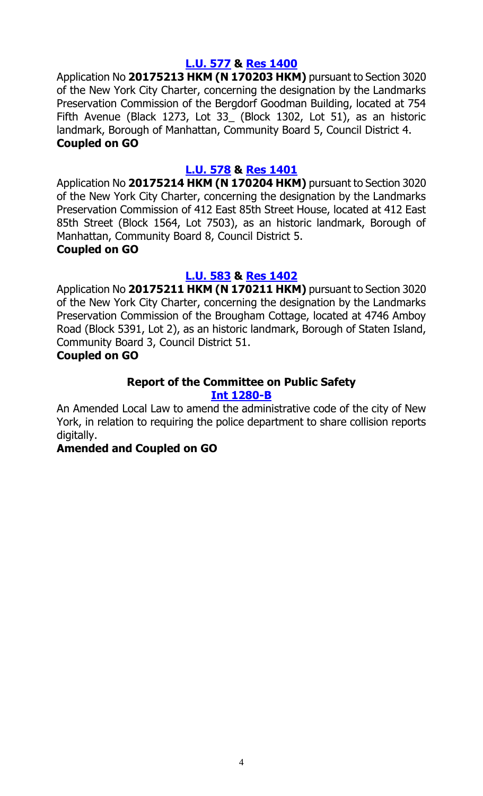# **[L.U. 577](http://legistar.council.nyc.gov/LegislationDetail.aspx?ID=2961282&GUID=E7BB6B12-2E03-441A-B853-6E5583FD14FA&Options=Advanced&Search=) & Res [1400](http://legistar.council.nyc.gov/LegislationDetail.aspx?ID=2971442&GUID=1BEB09DF-A759-41C0-ABB5-689EC3E390B7&Options=Advanced&Search=)**

Application No **20175213 HKM (N 170203 HKM)** pursuant to Section 3020 of the New York City Charter, concerning the designation by the Landmarks Preservation Commission of the Bergdorf Goodman Building, located at 754 Fifth Avenue (Black 1273, Lot 33\_ (Block 1302, Lot 51), as an historic landmark, Borough of Manhattan, Community Board 5, Council District 4. **Coupled on GO**

# **[L.U. 578](http://legistar.council.nyc.gov/LegislationDetail.aspx?ID=2961283&GUID=0C23E3E9-175A-4D64-99F0-19EC03149112&Options=Advanced&Search=) & Res [1401](http://legistar.council.nyc.gov/LegislationDetail.aspx?ID=2971443&GUID=D11050C3-E0C5-403F-8BFA-138576968FBE&Options=Advanced&Search=)**

Application No **20175214 HKM (N 170204 HKM)** pursuant to Section 3020 of the New York City Charter, concerning the designation by the Landmarks Preservation Commission of 412 East 85th Street House, located at 412 East 85th Street (Block 1564, Lot 7503), as an historic landmark, Borough of Manhattan, Community Board 8, Council District 5. **Coupled on GO**

# **[L.U. 583](http://legistar.council.nyc.gov/LegislationDetail.aspx?ID=2961288&GUID=4EC46689-C6F3-4DA3-B486-780A6407D4CE&Options=Advanced&Search=) & Res [1402](http://legistar.council.nyc.gov/LegislationDetail.aspx?ID=2971444&GUID=236C43EC-D0B7-4F90-AF47-ED86CA860248&Options=Advanced&Search=)**

Application No **20175211 HKM (N 170211 HKM)** pursuant to Section 3020 of the New York City Charter, concerning the designation by the Landmarks Preservation Commission of the Brougham Cottage, located at 4746 Amboy Road (Block 5391, Lot 2), as an historic landmark, Borough of Staten Island, Community Board 3, Council District 51.

# **Coupled on GO**

# **Report of the Committee on Public Safety**

#### **[Int 1280-B](http://legistar.council.nyc.gov/LegislationDetail.aspx?ID=2846608&GUID=0B548CAF-D97F-4CA7-BC1E-E0866B4F639A&Options=Advanced&Search=)**

An Amended Local Law to amend the administrative code of the city of New York, in relation to requiring the police department to share collision reports digitally.

# **Amended and Coupled on GO**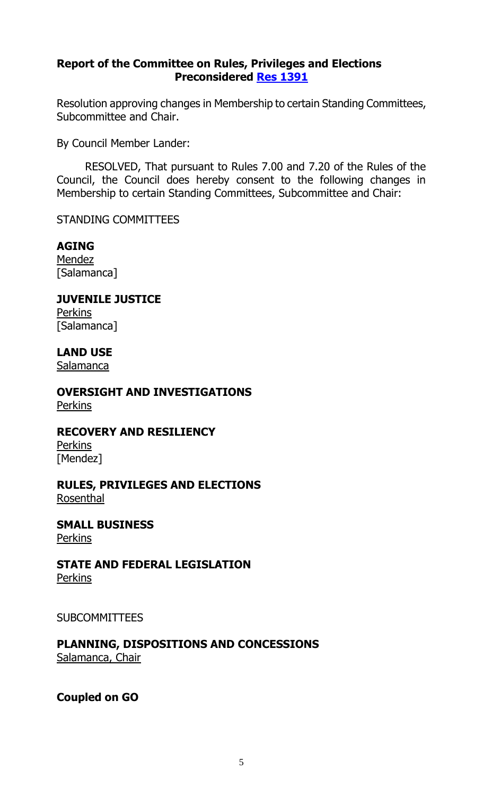# **Report of the Committee on Rules, Privileges and Elections Preconsidered Res [1391](http://legistar.council.nyc.gov/LegislationDetail.aspx?ID=2971687&GUID=BC703297-D4BC-4F73-A8A5-566BFCF69258&Options=Advanced&Search=)**

Resolution approving changes in Membership to certain Standing Committees, Subcommittee and Chair.

By Council Member Lander:

RESOLVED, That pursuant to Rules 7.00 and 7.20 of the Rules of the Council, the Council does hereby consent to the following changes in Membership to certain Standing Committees, Subcommittee and Chair:

#### STANDING COMMITTEES

# **AGING**

**Mendez** [Salamanca]

#### **JUVENILE JUSTICE Perkins**

[Salamanca]

# **LAND USE**

Salamanca

**OVERSIGHT AND INVESTIGATIONS**

**Perkins** 

# **RECOVERY AND RESILIENCY**

**Perkins** [Mendez]

#### **RULES, PRIVILEGES AND ELECTIONS** Rosenthal

**SMALL BUSINESS Perkins** 

# **STATE AND FEDERAL LEGISLATION**

Perkins

# SUBCOMMITTEES

# **PLANNING, DISPOSITIONS AND CONCESSIONS**

Salamanca, Chair

# **Coupled on GO**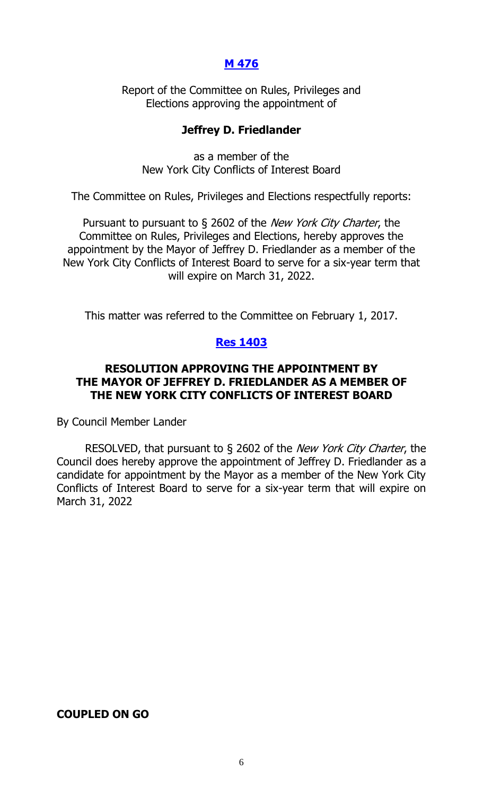# **[M 476](http://legistar.council.nyc.gov/LegislationDetail.aspx?ID=2949869&GUID=121EA2F3-613D-405C-A44E-5AB094DBB9D2&Options=Advanced&Search=)**

Report of the Committee on Rules, Privileges and Elections approving the appointment of

#### **Jeffrey D. Friedlander**

as a member of the New York City Conflicts of Interest Board

The Committee on Rules, Privileges and Elections respectfully reports:

Pursuant to pursuant to § 2602 of the *New York City Charter*, the Committee on Rules, Privileges and Elections, hereby approves the appointment by the Mayor of Jeffrey D. Friedlander as a member of the New York City Conflicts of Interest Board to serve for a six-year term that will expire on March 31, 2022.

This matter was referred to the Committee on February 1, 2017.

#### **Res [1403](http://legistar.council.nyc.gov/LegislationDetail.aspx?ID=2972185&GUID=E7ABF45D-7745-4115-A15F-492886F7568E&Options=Advanced&Search=)**

# **RESOLUTION APPROVING THE APPOINTMENT BY THE MAYOR OF JEFFREY D. FRIEDLANDER AS A MEMBER OF THE NEW YORK CITY CONFLICTS OF INTEREST BOARD**

By Council Member Lander

RESOLVED, that pursuant to § 2602 of the New York City Charter, the Council does hereby approve the appointment of Jeffrey D. Friedlander as a candidate for appointment by the Mayor as a member of the New York City Conflicts of Interest Board to serve for a six-year term that will expire on March 31, 2022

#### **COUPLED ON GO**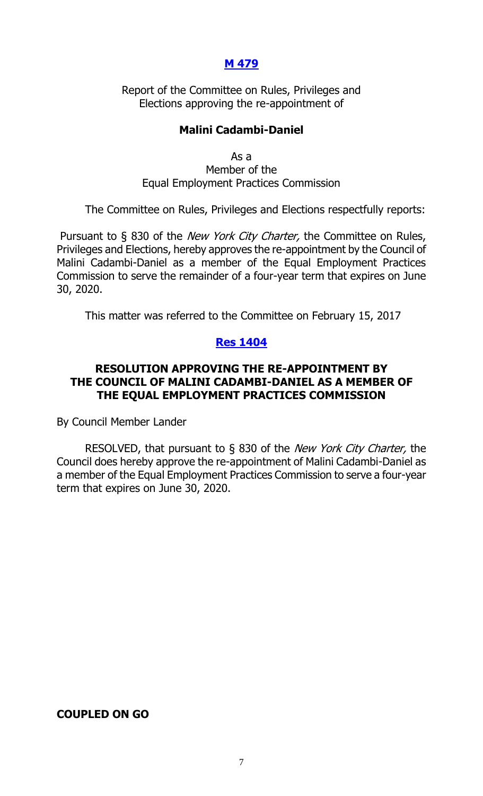# **[M 479](http://legistar.council.nyc.gov/LegislationDetail.aspx?ID=2954471&GUID=5C75C93E-9A5C-4ADF-8522-7D2CD28BC609&Options=Advanced&Search=)**

Report of the Committee on Rules, Privileges and Elections approving the re-appointment of

# **Malini Cadambi-Daniel**

As a Member of the Equal Employment Practices Commission

The Committee on Rules, Privileges and Elections respectfully reports:

Pursuant to § 830 of the *New York City Charter*, the Committee on Rules, Privileges and Elections, hereby approves the re-appointment by the Council of Malini Cadambi-Daniel as a member of the Equal Employment Practices Commission to serve the remainder of a four-year term that expires on June 30, 2020.

This matter was referred to the Committee on February 15, 2017

# **Res [1404](http://legistar.council.nyc.gov/LegislationDetail.aspx?ID=2972184&GUID=8DD6D3F1-9AB2-404D-9482-4E0BD62075ED&Options=Advanced&Search=)**

# **RESOLUTION APPROVING THE RE-APPOINTMENT BY THE COUNCIL OF MALINI CADAMBI-DANIEL AS A MEMBER OF THE EQUAL EMPLOYMENT PRACTICES COMMISSION**

By Council Member Lander

RESOLVED, that pursuant to § 830 of the New York City Charter, the Council does hereby approve the re-appointment of Malini Cadambi-Daniel as a member of the Equal Employment Practices Commission to serve a four-year term that expires on June 30, 2020.

#### **COUPLED ON GO**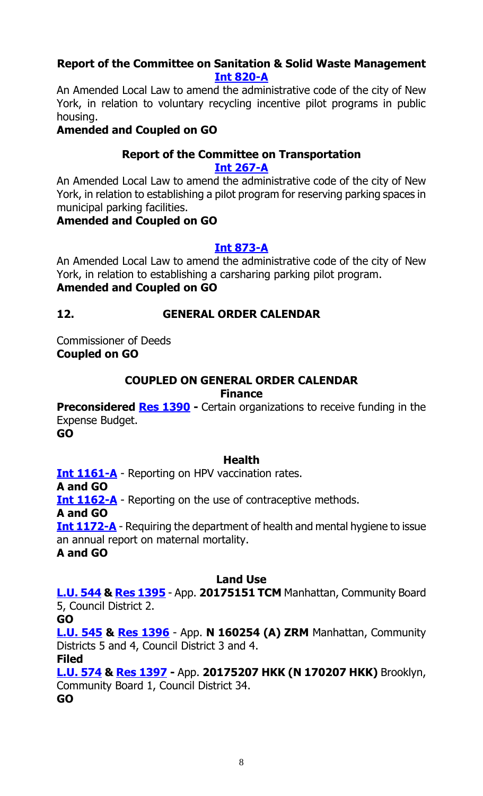# **Report of the Committee on Sanitation & Solid Waste Management [Int 820-A](http://legistar.council.nyc.gov/LegislationDetail.aspx?ID=2352256&GUID=B0CCFA25-E5A9-4A8A-A465-9BEC22FE9DEC&Options=Advanced&Search=)**

An Amended Local Law to amend the administrative code of the city of New York, in relation to voluntary recycling incentive pilot programs in public housing.

# **Amended and Coupled on GO**

#### **Report of the Committee on Transportation [Int 267-A](http://legistar.council.nyc.gov/LegislationDetail.aspx?ID=1709696&GUID=7372DC40-298A-4DB0-825D-9C83A0CC73F5&Options=Advanced&Search=)**

An Amended Local Law to amend the administrative code of the city of New York, in relation to establishing a pilot program for reserving parking spaces in municipal parking facilities.

# **Amended and Coupled on GO**

# **[Int 873-A](http://legistar.council.nyc.gov/LegislationDetail.aspx?ID=2404408&GUID=090E4AA8-3B4E-4B66-95B5-DB3B5B69C1D1&Options=Advanced&Search=)**

An Amended Local Law to amend the administrative code of the city of New York, in relation to establishing a carsharing parking pilot program. **Amended and Coupled on GO**

# **12. GENERAL ORDER CALENDAR**

Commissioner of Deeds **Coupled on GO**

#### **COUPLED ON GENERAL ORDER CALENDAR Finance**

**Preconsidered [Res 1390](http://legistar.council.nyc.gov/LegislationDetail.aspx?ID=2958631&GUID=E7DC7053-07F5-4F0A-84DA-FF935389DCB4&Options=Advanced&Search=)** - Certain organizations to receive funding in the Expense Budget.

**GO**

# **Health**

**[Int 1161-A](http://legistar.council.nyc.gov/LegislationDetail.aspx?ID=2693987&GUID=E8E248A4-38DC-4353-9B36-905A53E7E55F&Options=Advanced&Search=)** - Reporting on HPV vaccination rates. **A and GO [Int 1162-A](http://legistar.council.nyc.gov/LegislationDetail.aspx?ID=2693989&GUID=4E2387BF-9D7B-4738-B378-408B4F68F7BE&Options=Advanced&Search=)** - Reporting on the use of contraceptive methods. **A and GO [Int 1172-A](http://legistar.council.nyc.gov/LegislationDetail.aspx?ID=2709929&GUID=32D3EE5A-6F06-479D-BA51-F64D29EBAF6B&Options=Advanced&Search=)** - Requiring the department of health and mental hygiene to issue an annual report on maternal mortality.

**A and GO**

# **Land Use**

**[L.U. 544](http://legistar.council.nyc.gov/LegislationDetail.aspx?ID=2939949&GUID=8018A8CC-136E-46B4-ABEC-9F227D28EF02&Options=Advanced&Search=) & [Res 1395](http://legistar.council.nyc.gov/LegislationDetail.aspx?ID=2971437&GUID=85482A55-D7E8-41D7-9FFA-AC0912CBE2D2&Options=Advanced&Search=)** - App. **20175151 TCM** Manhattan, Community Board 5, Council District 2.

**GO**

**[L.U. 545](http://legistar.council.nyc.gov/LegislationDetail.aspx?ID=2939947&GUID=B7630E6B-8219-4BCB-82B3-FC4BFEBFD6F9&Options=Advanced&Search=) & [Res 1396](http://legistar.council.nyc.gov/LegislationDetail.aspx?ID=2971438&GUID=A11CE23F-8950-410C-A7C3-CDC66710B0A4&Options=Advanced&Search=)** - App. **N 160254 (A) ZRM** Manhattan, Community Districts 5 and 4, Council District 3 and 4.

**Filed**

**[L.U. 574](http://legistar.council.nyc.gov/LegislationDetail.aspx?ID=2961279&GUID=4EB2C03E-A0BD-4609-8A8F-D582A4F13365&Options=Advanced&Search=) & Res [1397](http://legistar.council.nyc.gov/LegislationDetail.aspx?ID=2971439&GUID=D463845A-3CAA-4DB8-9E6A-C9C3C4395B3A&Options=Advanced&Search=) -** App. **20175207 HKK (N 170207 HKK)** Brooklyn, Community Board 1, Council District 34. **GO**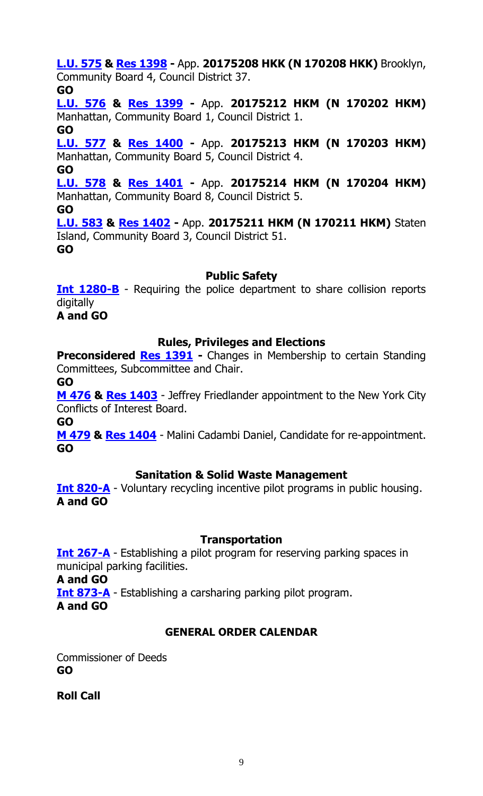**[L.U. 575](http://legistar.council.nyc.gov/LegislationDetail.aspx?ID=2961280&GUID=93413B5D-8AB7-4239-A4C5-8AA8AF399C42&Options=Advanced&Search=) & Res [1398](http://legistar.council.nyc.gov/LegislationDetail.aspx?ID=2971440&GUID=C437CCA1-71AD-421D-B1E7-F9BB2AA0ED9D&Options=Advanced&Search=) -** App. **20175208 HKK (N 170208 HKK)** Brooklyn, Community Board 4, Council District 37.

# **GO**

**[L.U. 576](http://legistar.council.nyc.gov/LegislationDetail.aspx?ID=2961281&GUID=4F2C87E5-D39A-4C86-B82D-D8A747993828&Options=Advanced&Search=) & Res [1399](http://legistar.council.nyc.gov/LegislationDetail.aspx?ID=2971441&GUID=975FF6A5-D4FA-4F55-9D0E-CBE6160C5322&Options=Advanced&Search=) -** App. **20175212 HKM (N 170202 HKM)** Manhattan, Community Board 1, Council District 1.

**GO [L.U. 577](http://legistar.council.nyc.gov/LegislationDetail.aspx?ID=2961282&GUID=E7BB6B12-2E03-441A-B853-6E5583FD14FA&Options=Advanced&Search=) & Res [1400](http://legistar.council.nyc.gov/LegislationDetail.aspx?ID=2971442&GUID=1BEB09DF-A759-41C0-ABB5-689EC3E390B7&Options=Advanced&Search=) -** App. **20175213 HKM (N 170203 HKM)** Manhattan, Community Board 5, Council District 4.

**GO**

**[L.U. 578](http://legistar.council.nyc.gov/LegislationDetail.aspx?ID=2961283&GUID=0C23E3E9-175A-4D64-99F0-19EC03149112&Options=Advanced&Search=) & Res [1401](http://legistar.council.nyc.gov/LegislationDetail.aspx?ID=2971443&GUID=D11050C3-E0C5-403F-8BFA-138576968FBE&Options=Advanced&Search=) -** App. **20175214 HKM (N 170204 HKM)** Manhattan, Community Board 8, Council District 5.

**GO**

**[L.U. 583](http://legistar.council.nyc.gov/LegislationDetail.aspx?ID=2961288&GUID=4EC46689-C6F3-4DA3-B486-780A6407D4CE&Options=Advanced&Search=) & Res [1402](http://legistar.council.nyc.gov/LegislationDetail.aspx?ID=2971444&GUID=236C43EC-D0B7-4F90-AF47-ED86CA860248&Options=Advanced&Search=) -** App. **20175211 HKM (N 170211 HKM)** Staten Island, Community Board 3, Council District 51. **GO**

# **Public Safety**

**[Int 1280-B](http://legistar.council.nyc.gov/LegislationDetail.aspx?ID=2846608&GUID=0B548CAF-D97F-4CA7-BC1E-E0866B4F639A&Options=Advanced&Search=)** - Requiring the police department to share collision reports digitally

**A and GO**

# **Rules, Privileges and Elections**

**Preconsidered [Res 1391](http://legistar.council.nyc.gov/LegislationDetail.aspx?ID=2971687&GUID=BC703297-D4BC-4F73-A8A5-566BFCF69258&Options=Advanced&Search=)** - Changes in Membership to certain Standing Committees, Subcommittee and Chair.

**GO**

**[M 476](http://legistar.council.nyc.gov/LegislationDetail.aspx?ID=2949869&GUID=121EA2F3-613D-405C-A44E-5AB094DBB9D2&Options=Advanced&Search=) & [Res 1403](http://legistar.council.nyc.gov/LegislationDetail.aspx?ID=2972185&GUID=E7ABF45D-7745-4115-A15F-492886F7568E&Options=Advanced&Search=)** - Jeffrey Friedlander appointment to the New York City Conflicts of Interest Board.

**GO**

**[M 479](http://legistar.council.nyc.gov/LegislationDetail.aspx?ID=2954471&GUID=5C75C93E-9A5C-4ADF-8522-7D2CD28BC609&Options=Advanced&Search=) & [Res 1404](http://legistar.council.nyc.gov/LegislationDetail.aspx?ID=2972184&GUID=8DD6D3F1-9AB2-404D-9482-4E0BD62075ED&Options=Advanced&Search=)** - Malini Cadambi Daniel, Candidate for re-appointment. **GO**

# **Sanitation & Solid Waste Management**

**[Int 820-A](http://legistar.council.nyc.gov/LegislationDetail.aspx?ID=2352256&GUID=B0CCFA25-E5A9-4A8A-A465-9BEC22FE9DEC&Options=Advanced&Search=)** - Voluntary recycling incentive pilot programs in public housing. **A and GO**

# **Transportation**

**[Int 267-A](http://legistar.council.nyc.gov/LegislationDetail.aspx?ID=1709696&GUID=7372DC40-298A-4DB0-825D-9C83A0CC73F5&Options=Advanced&Search=)** - Establishing a pilot program for reserving parking spaces in municipal parking facilities.

**A and GO**

**[Int 873-A](http://legistar.council.nyc.gov/LegislationDetail.aspx?ID=2404408&GUID=090E4AA8-3B4E-4B66-95B5-DB3B5B69C1D1&Options=Advanced&Search=)** - Establishing a carsharing parking pilot program. **A and GO**

# **GENERAL ORDER CALENDAR**

Commissioner of Deeds **GO**

**Roll Call**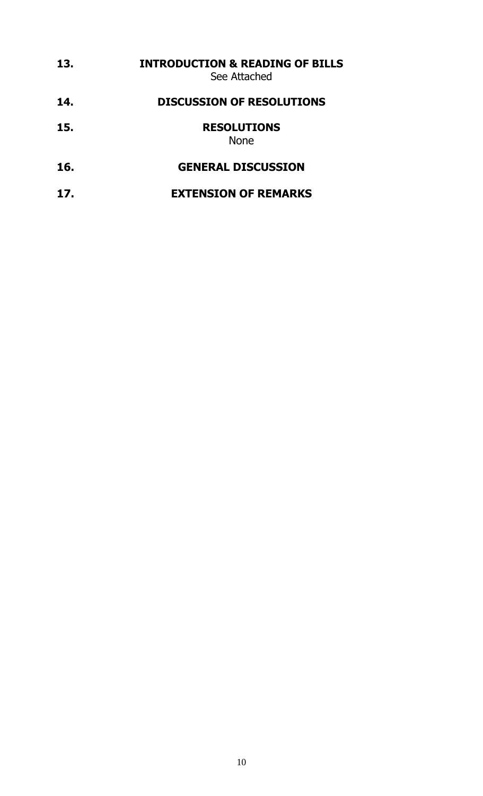| 13. | <b>INTRODUCTION &amp; READING OF BILLS</b><br>See Attached |
|-----|------------------------------------------------------------|
| 14. | <b>DISCUSSION OF RESOLUTIONS</b>                           |
| 15. | <b>RESOLUTIONS</b><br><b>None</b>                          |
| 16. | <b>GENERAL DISCUSSION</b>                                  |
| 17. | <b>EXTENSION OF REMARKS</b>                                |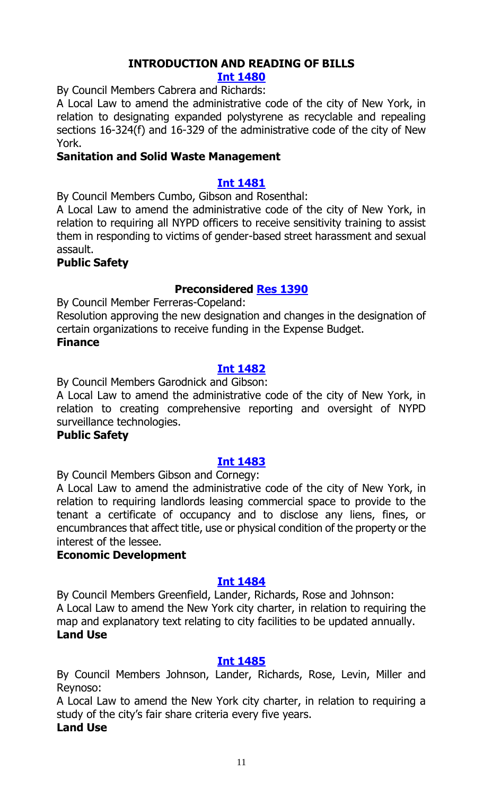# **INTRODUCTION AND READING OF BILLS**

#### **[Int 1480](http://legistar.council.nyc.gov/LegislationDetail.aspx?ID=2972218&GUID=99CDCC68-B2EB-4FA1-B03D-CD6D9DCA7559&Options=Advanced&Search=)**

By Council Members Cabrera and Richards:

A Local Law to amend the administrative code of the city of New York, in relation to designating expanded polystyrene as recyclable and repealing sections 16-324(f) and 16-329 of the administrative code of the city of New York.

## **Sanitation and Solid Waste Management**

## **[Int 1481](http://legistar.council.nyc.gov/LegislationDetail.aspx?ID=2972216&GUID=0BE618A9-FDB5-4062-B23E-08379E313009&Options=Advanced&Search=)**

By Council Members Cumbo, Gibson and Rosenthal:

A Local Law to amend the administrative code of the city of New York, in relation to requiring all NYPD officers to receive sensitivity training to assist them in responding to victims of gender-based street harassment and sexual assault.

#### **Public Safety**

# **Preconsidered [Res 1390](http://legistar.council.nyc.gov/LegislationDetail.aspx?ID=2958631&GUID=E7DC7053-07F5-4F0A-84DA-FF935389DCB4&Options=Advanced&Search=)**

By Council Member Ferreras-Copeland:

Resolution approving the new designation and changes in the designation of certain organizations to receive funding in the Expense Budget. **Finance**

#### **[Int 1482](http://legistar.council.nyc.gov/LegislationDetail.aspx?ID=2972217&GUID=0D8289B8-5F08-4E6F-A0D1-2120EF7A0DCA&Options=Advanced&Search=)**

By Council Members Garodnick and Gibson:

A Local Law to amend the administrative code of the city of New York, in relation to creating comprehensive reporting and oversight of NYPD surveillance technologies.

#### **Public Safety**

#### **[Int 1483](http://legistar.council.nyc.gov/LegislationDetail.aspx?ID=2972229&GUID=9A436CF4-0CB7-4AFC-B87F-6488AE39EDC3&Options=Advanced&Search=)**

By Council Members Gibson and Cornegy:

A Local Law to amend the administrative code of the city of New York, in relation to requiring landlords leasing commercial space to provide to the tenant a certificate of occupancy and to disclose any liens, fines, or encumbrances that affect title, use or physical condition of the property or the interest of the lessee.

#### **Economic Development**

# **[Int 1484](http://legistar.council.nyc.gov/LegislationDetail.aspx?ID=2972230&GUID=ADB4DFFA-E6FE-416E-A17C-707B0F574DAE&Options=Advanced&Search=)**

By Council Members Greenfield, Lander, Richards, Rose and Johnson: A Local Law to amend the New York city charter, in relation to requiring the map and explanatory text relating to city facilities to be updated annually. **Land Use**

#### **[Int 1485](http://legistar.council.nyc.gov/LegislationDetail.aspx?ID=2972228&GUID=FDE74A26-BDDA-46C0-ACEC-AF7B85F38E1C&Options=Advanced&Search=)**

By Council Members Johnson, Lander, Richards, Rose, Levin, Miller and Reynoso:

A Local Law to amend the New York city charter, in relation to requiring a study of the city's fair share criteria every five years.

# **Land Use**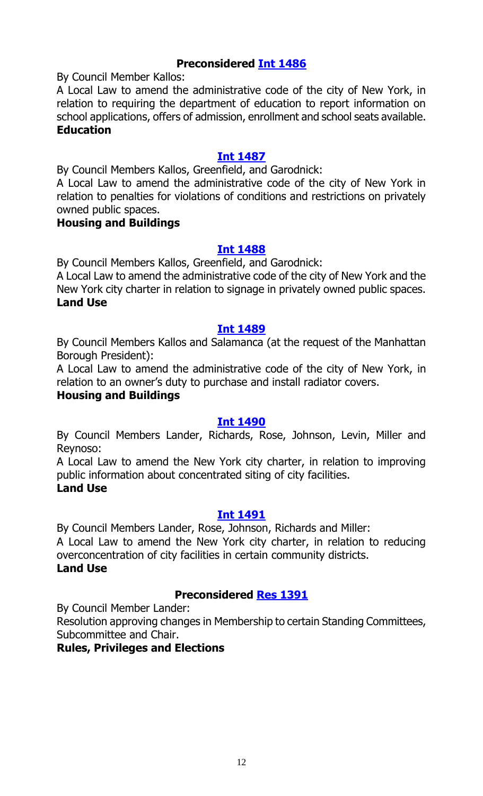# **Preconsidered [Int 1486](http://legistar.council.nyc.gov/LegislationDetail.aspx?ID=2962029&GUID=DB5A6F41-42F2-4EC8-9AC9-3DD4F67004CE&Options=Advanced&Search=)**

By Council Member Kallos:

A Local Law to amend the administrative code of the city of New York, in relation to requiring the department of education to report information on school applications, offers of admission, enrollment and school seats available. **Education**

# **[Int 1487](http://legistar.council.nyc.gov/LegislationDetail.aspx?ID=2972234&GUID=B9C4730A-CDBB-4A9D-8F17-52D05A7A043F&Options=Advanced&Search=)**

By Council Members Kallos, Greenfield, and Garodnick:

A Local Law to amend the administrative code of the city of New York in relation to penalties for violations of conditions and restrictions on privately owned public spaces.

#### **Housing and Buildings**

#### **[Int 1488](http://legistar.council.nyc.gov/LegislationDetail.aspx?ID=2972233&GUID=9130E96C-828A-4BE1-8DA4-0E216E072C20&Options=Advanced&Search=)**

By Council Members Kallos, Greenfield, and Garodnick:

A Local Law to amend the administrative code of the city of New York and the New York city charter in relation to signage in privately owned public spaces. **Land Use**

#### **[Int 1489](http://legistar.council.nyc.gov/LegislationDetail.aspx?ID=2972232&GUID=68F2AE59-E682-4BCD-9A37-6E896AB084CB&Options=Advanced&Search=)**

By Council Members Kallos and Salamanca (at the request of the Manhattan Borough President):

A Local Law to amend the administrative code of the city of New York, in relation to an owner's duty to purchase and install radiator covers.

#### **Housing and Buildings**

#### **[Int 1490](http://legistar.council.nyc.gov/LegislationDetail.aspx?ID=2972246&GUID=2CDA0D43-1ACD-4640-9CBE-A91F8F47D94C&Options=Advanced&Search=)**

By Council Members Lander, Richards, Rose, Johnson, Levin, Miller and Reynoso:

A Local Law to amend the New York city charter, in relation to improving public information about concentrated siting of city facilities.

#### **Land Use**

# **[Int 1491](http://legistar.council.nyc.gov/LegislationDetail.aspx?ID=2972248&GUID=3F07BDFA-C71F-4A20-B76A-700ADAE544BA&Options=Advanced&Search=)**

By Council Members Lander, Rose, Johnson, Richards and Miller:

A Local Law to amend the New York city charter, in relation to reducing overconcentration of city facilities in certain community districts.

# **Land Use**

# **Preconsidered [Res 1391](http://legistar.council.nyc.gov/LegislationDetail.aspx?ID=2971687&GUID=BC703297-D4BC-4F73-A8A5-566BFCF69258&Options=Advanced&Search=)**

By Council Member Lander:

Resolution approving changes in Membership to certain Standing Committees, Subcommittee and Chair.

# **Rules, Privileges and Elections**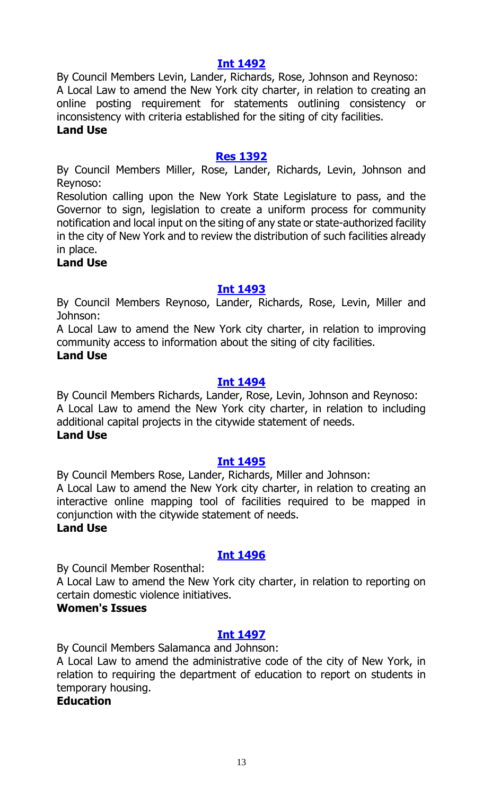# **[Int 1492](http://legistar.council.nyc.gov/LegislationDetail.aspx?ID=2972249&GUID=A569BF7E-4BCD-4348-BD1F-02408CC88E37&Options=Advanced&Search=)**

By Council Members Levin, Lander, Richards, Rose, Johnson and Reynoso: A Local Law to amend the New York city charter, in relation to creating an online posting requirement for statements outlining consistency or inconsistency with criteria established for the siting of city facilities. **Land Use**

#### **[Res 1392](http://legistar.council.nyc.gov/LegislationDetail.aspx?ID=2972250&GUID=5525E287-578E-4FBA-A557-E13DC280F081&Options=Advanced&Search=)**

By Council Members Miller, Rose, Lander, Richards, Levin, Johnson and Reynoso:

Resolution calling upon the New York State Legislature to pass, and the Governor to sign, legislation to create a uniform process for community notification and local input on the siting of any state or state-authorized facility in the city of New York and to review the distribution of such facilities already in place.

#### **Land Use**

#### **[Int 1493](http://legistar.council.nyc.gov/LegislationDetail.aspx?ID=2972247&GUID=B6D0F9B9-3CAB-4998-BE53-B9E83B78C897&Options=Advanced&Search=)**

By Council Members Reynoso, Lander, Richards, Rose, Levin, Miller and Johnson:

A Local Law to amend the New York city charter, in relation to improving community access to information about the siting of city facilities.

#### **Land Use**

#### **[Int 1494](http://legistar.council.nyc.gov/LegislationDetail.aspx?ID=2972252&GUID=A9DEE4A1-0BFE-485B-9C96-886148638014&Options=Advanced&Search=)**

By Council Members Richards, Lander, Rose, Levin, Johnson and Reynoso: A Local Law to amend the New York city charter, in relation to including additional capital projects in the citywide statement of needs. **Land Use**

#### **[Int 1495](http://legistar.council.nyc.gov/LegislationDetail.aspx?ID=2972254&GUID=FDD96C5C-596D-4371-B359-EF4BDBFC8E02&Options=Advanced&Search=)**

By Council Members Rose, Lander, Richards, Miller and Johnson:

A Local Law to amend the New York city charter, in relation to creating an interactive online mapping tool of facilities required to be mapped in conjunction with the citywide statement of needs.

#### **Land Use**

# **[Int 1496](http://legistar.council.nyc.gov/LegislationDetail.aspx?ID=2972253&GUID=8FAB9234-8AAB-4ADA-9F83-0D9DAF97F950&Options=Advanced&Search=)**

By Council Member Rosenthal:

A Local Law to amend the New York city charter, in relation to reporting on certain domestic violence initiatives.

#### **Women's Issues**

# **[Int 1497](http://legistar.council.nyc.gov/LegislationDetail.aspx?ID=2972261&GUID=366DB7B4-E99F-47FF-915D-0080B368C7C3&Options=Advanced&Search=)**

By Council Members Salamanca and Johnson:

A Local Law to amend the administrative code of the city of New York, in relation to requiring the department of education to report on students in temporary housing.

**Education**